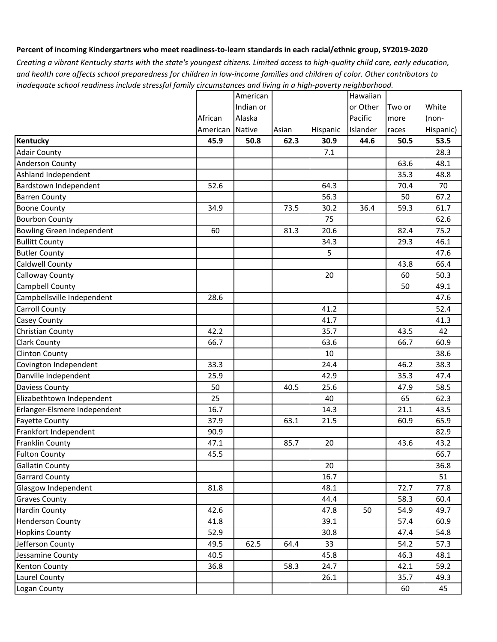### **Percent of incoming Kindergartners who meet readiness-to-learn standards in each racial/ethnic group, SY2019-2020**

*inadequate school readiness include stressful family circumstances and living in a high-poverty neighborhood. Creating a vibrant Kentucky starts with the state's youngest citizens. Limited access to high-quality child care, early education, and health care affects school preparedness for children in low-income families and children of color. Other contributors to* 

|                              |          | American  |       |          | Hawaiian |        |           |
|------------------------------|----------|-----------|-------|----------|----------|--------|-----------|
|                              |          | Indian or |       |          | or Other | Two or | White     |
|                              | African  | Alaska    |       |          | Pacific  | more   | (non-     |
|                              | American | Native    | Asian | Hispanic | Islander | races  | Hispanic) |
| Kentucky                     | 45.9     | 50.8      | 62.3  | 30.9     | 44.6     | 50.5   | 53.5      |
| <b>Adair County</b>          |          |           |       | 7.1      |          |        | 28.3      |
| <b>Anderson County</b>       |          |           |       |          |          | 63.6   | 48.1      |
| Ashland Independent          |          |           |       |          |          | 35.3   | 48.8      |
| Bardstown Independent        | 52.6     |           |       | 64.3     |          | 70.4   | 70        |
| <b>Barren County</b>         |          |           |       | 56.3     |          | 50     | 67.2      |
| <b>Boone County</b>          | 34.9     |           | 73.5  | 30.2     | 36.4     | 59.3   | 61.7      |
| <b>Bourbon County</b>        |          |           |       | 75       |          |        | 62.6      |
| Bowling Green Independent    | 60       |           | 81.3  | 20.6     |          | 82.4   | 75.2      |
| <b>Bullitt County</b>        |          |           |       | 34.3     |          | 29.3   | 46.1      |
| <b>Butler County</b>         |          |           |       | 5        |          |        | 47.6      |
| Caldwell County              |          |           |       |          |          | 43.8   | 66.4      |
| <b>Calloway County</b>       |          |           |       | 20       |          | 60     | 50.3      |
| <b>Campbell County</b>       |          |           |       |          |          | 50     | 49.1      |
| Campbellsville Independent   | 28.6     |           |       |          |          |        | 47.6      |
| <b>Carroll County</b>        |          |           |       | 41.2     |          |        | 52.4      |
| <b>Casey County</b>          |          |           |       | 41.7     |          |        | 41.3      |
| Christian County             | 42.2     |           |       | 35.7     |          | 43.5   | 42        |
| <b>Clark County</b>          | 66.7     |           |       | 63.6     |          | 66.7   | 60.9      |
| <b>Clinton County</b>        |          |           |       | 10       |          |        | 38.6      |
| Covington Independent        | 33.3     |           |       | 24.4     |          | 46.2   | 38.3      |
| Danville Independent         | 25.9     |           |       | 42.9     |          | 35.3   | 47.4      |
| <b>Daviess County</b>        | 50       |           | 40.5  | 25.6     |          | 47.9   | 58.5      |
| Elizabethtown Independent    | 25       |           |       | 40       |          | 65     | 62.3      |
| Erlanger-Elsmere Independent | 16.7     |           |       | 14.3     |          | 21.1   | 43.5      |
| <b>Fayette County</b>        | 37.9     |           | 63.1  | 21.5     |          | 60.9   | 65.9      |
| Frankfort Independent        | 90.9     |           |       |          |          |        | 82.9      |
| <b>Franklin County</b>       | 47.1     |           | 85.7  | 20       |          | 43.6   | 43.2      |
| <b>Fulton County</b>         | 45.5     |           |       |          |          |        | 66.7      |
| <b>Gallatin County</b>       |          |           |       | 20       |          |        | 36.8      |
| <b>Garrard County</b>        |          |           |       | 16.7     |          |        | 51        |
| Glasgow Independent          | 81.8     |           |       | 48.1     |          | 72.7   | 77.8      |
| <b>Graves County</b>         |          |           |       | 44.4     |          | 58.3   | 60.4      |
| <b>Hardin County</b>         | 42.6     |           |       | 47.8     | 50       | 54.9   | 49.7      |
| <b>Henderson County</b>      | 41.8     |           |       | 39.1     |          | 57.4   | 60.9      |
| <b>Hopkins County</b>        | 52.9     |           |       | 30.8     |          | 47.4   | 54.8      |
| Jefferson County             | 49.5     | 62.5      | 64.4  | 33       |          | 54.2   | 57.3      |
| Jessamine County             | 40.5     |           |       | 45.8     |          | 46.3   | 48.1      |
| Kenton County                | 36.8     |           | 58.3  | 24.7     |          | 42.1   | 59.2      |
| Laurel County                |          |           |       | 26.1     |          | 35.7   | 49.3      |
| Logan County                 |          |           |       |          |          | 60     | 45        |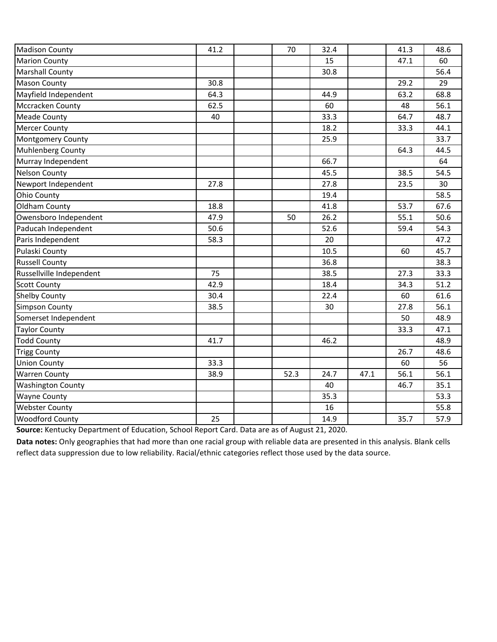| <b>Madison County</b>    | 41.2 | 70   | 32.4 |      | 41.3 | 48.6 |
|--------------------------|------|------|------|------|------|------|
| <b>Marion County</b>     |      |      | 15   |      | 47.1 | 60   |
| <b>Marshall County</b>   |      |      | 30.8 |      |      | 56.4 |
| <b>Mason County</b>      | 30.8 |      |      |      | 29.2 | 29   |
| Mayfield Independent     | 64.3 |      | 44.9 |      | 63.2 | 68.8 |
| Mccracken County         | 62.5 |      | 60   |      | 48   | 56.1 |
| <b>Meade County</b>      | 40   |      | 33.3 |      | 64.7 | 48.7 |
| <b>Mercer County</b>     |      |      | 18.2 |      | 33.3 | 44.1 |
| <b>Montgomery County</b> |      |      | 25.9 |      |      | 33.7 |
| Muhlenberg County        |      |      |      |      | 64.3 | 44.5 |
| Murray Independent       |      |      | 66.7 |      |      | 64   |
| <b>Nelson County</b>     |      |      | 45.5 |      | 38.5 | 54.5 |
| Newport Independent      | 27.8 |      | 27.8 |      | 23.5 | 30   |
| <b>Ohio County</b>       |      |      | 19.4 |      |      | 58.5 |
| Oldham County            | 18.8 |      | 41.8 |      | 53.7 | 67.6 |
| Owensboro Independent    | 47.9 | 50   | 26.2 |      | 55.1 | 50.6 |
| Paducah Independent      | 50.6 |      | 52.6 |      | 59.4 | 54.3 |
| Paris Independent        | 58.3 |      | 20   |      |      | 47.2 |
| Pulaski County           |      |      | 10.5 |      | 60   | 45.7 |
| <b>Russell County</b>    |      |      | 36.8 |      |      | 38.3 |
| Russellville Independent | 75   |      | 38.5 |      | 27.3 | 33.3 |
| <b>Scott County</b>      | 42.9 |      | 18.4 |      | 34.3 | 51.2 |
| <b>Shelby County</b>     | 30.4 |      | 22.4 |      | 60   | 61.6 |
| Simpson County           | 38.5 |      | 30   |      | 27.8 | 56.1 |
| Somerset Independent     |      |      |      |      | 50   | 48.9 |
| <b>Taylor County</b>     |      |      |      |      | 33.3 | 47.1 |
| <b>Todd County</b>       | 41.7 |      | 46.2 |      |      | 48.9 |
| <b>Trigg County</b>      |      |      |      |      | 26.7 | 48.6 |
| <b>Union County</b>      | 33.3 |      |      |      | 60   | 56   |
| <b>Warren County</b>     | 38.9 | 52.3 | 24.7 | 47.1 | 56.1 | 56.1 |
| <b>Washington County</b> |      |      | 40   |      | 46.7 | 35.1 |
| <b>Wayne County</b>      |      |      | 35.3 |      |      | 53.3 |
| Webster County           |      |      | 16   |      |      | 55.8 |
| <b>Woodford County</b>   | 25   |      | 14.9 |      | 35.7 | 57.9 |

**Source:** Kentucky Department of Education, School Report Card. Data are as of August 21, 2020.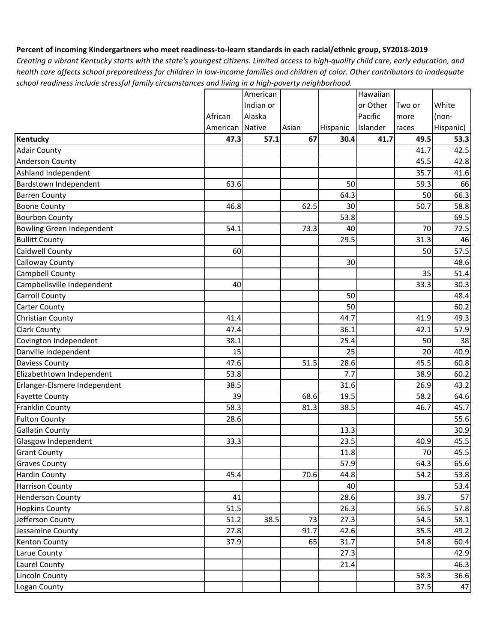### **Percent of incoming Kindergartners who meet readiness-to-learn standards in each racial/ethnic group, SY2018-2019**

|                              |          | American      |       |          | Hawaiian |        |           |
|------------------------------|----------|---------------|-------|----------|----------|--------|-----------|
|                              |          | Indian or     |       |          | or Other | Two or | White     |
|                              | African  | Alaska        |       |          | Pacific  | more   | (non-     |
|                              | American | <b>Native</b> | Asian | Hispanic | Islander | races  | Hispanic) |
| Kentucky                     | 47.3     | 57.1          | 67    | 30.4     | 41.7     | 49.5   | 53.3      |
| <b>Adair County</b>          |          |               |       |          |          | 41.7   | 42.5      |
| <b>Anderson County</b>       |          |               |       |          |          | 45.5   | 42.8      |
| Ashland Independent          |          |               |       |          |          | 35.7   | 41.6      |
| Bardstown Independent        | 63.6     |               |       | 50       |          | 59.3   | 66        |
| <b>Barren County</b>         |          |               |       | 64.3     |          | 50     | 66.3      |
| <b>Boone County</b>          | 46.8     |               | 62.5  | 30       |          | 50.7   | 58.8      |
| <b>Bourbon County</b>        |          |               |       | 53.8     |          |        | 69.5      |
| Bowling Green Independent    | 54.1     |               | 73.3  | 40       |          | 70     | 72.5      |
| <b>Bullitt County</b>        |          |               |       | 29.5     |          | 31.3   | 46        |
| <b>Caldwell County</b>       | 60       |               |       |          |          | 50     | 57.5      |
| Calloway County              |          |               |       | 30       |          |        | 48.6      |
| <b>Campbell County</b>       |          |               |       |          |          | 35     | 51.4      |
| Campbellsville Independent   | 40       |               |       |          |          | 33.3   | 30.3      |
| <b>Carroll County</b>        |          |               |       | 50       |          |        | 48.4      |
| <b>Carter County</b>         |          |               |       | 50       |          |        | 60.2      |
| Christian County             | 41.4     |               |       | 44.7     |          | 41.9   | 49.3      |
| <b>Clark County</b>          | 47.4     |               |       | 36.1     |          | 42.1   | 57.9      |
| Covington Independent        | 38.1     |               |       | 25.4     |          | 50     | 38        |
| Danville Independent         | 15       |               |       | 25       |          | 20     | 40.9      |
| <b>Daviess County</b>        | 47.6     |               | 51.5  | 28.6     |          | 45.5   | 60.8      |
| Elizabethtown Independent    | 53.8     |               |       | 7.7      |          | 38.9   | 60.2      |
| Erlanger-Elsmere Independent | 38.5     |               |       | 31.6     |          | 26.9   | 43.2      |
| <b>Fayette County</b>        | 39       |               | 68.6  | 19.5     |          | 58.2   | 64.6      |
| <b>Franklin County</b>       | 58.3     |               | 81.3  | 38.5     |          | 46.7   | 45.7      |
| <b>Fulton County</b>         | 28.6     |               |       |          |          |        | 55.6      |
| <b>Gallatin County</b>       |          |               |       | 13.3     |          |        | 30.9      |
| Glasgow Independent          | 33.3     |               |       | 23.5     |          | 40.9   | 45.5      |
| <b>Grant County</b>          |          |               |       | 11.8     |          | 70     | 45.5      |
| Graves County                |          |               |       | 57.9     |          | 64.3   | 65.6      |
| <b>Hardin County</b>         | 45.4     |               | 70.6  | 44.8     |          | 54.2   | 53.8      |
| <b>Harrison County</b>       |          |               |       | 40       |          |        | 53.4      |
| <b>Henderson County</b>      | 41       |               |       | 28.6     |          | 39.7   | 57        |
| <b>Hopkins County</b>        | 51.5     |               |       | 26.3     |          | 56.5   | 57.8      |
| Jefferson County             | 51.2     | 38.5          | 73    | 27.3     |          | 54.5   | 58.1      |
| Jessamine County             | 27.8     |               | 91.7  | 42.6     |          | 35.5   | 49.2      |
| <b>Kenton County</b>         | 37.9     |               | 65    | 31.7     |          | 54.8   | 60.4      |
| Larue County                 |          |               |       | 27.3     |          |        | 42.9      |
| Laurel County                |          |               |       | 21.4     |          |        | 46.3      |
| <b>Lincoln County</b>        |          |               |       |          |          | 58.3   | 36.6      |
| Logan County                 |          |               |       |          |          | 37.5   | 47        |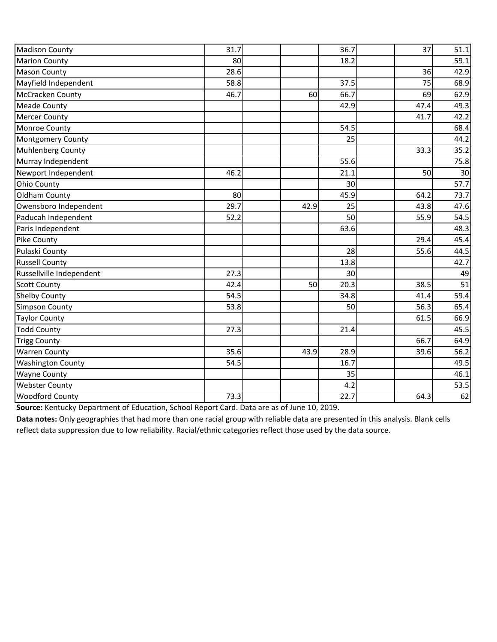| <b>Madison County</b>    | 31.7 |      | 36.7 | 37   | 51.1 |
|--------------------------|------|------|------|------|------|
| <b>Marion County</b>     | 80   |      | 18.2 |      | 59.1 |
| <b>Mason County</b>      | 28.6 |      |      | 36   | 42.9 |
| Mayfield Independent     | 58.8 |      | 37.5 | 75   | 68.9 |
| McCracken County         | 46.7 | 60   | 66.7 | 69   | 62.9 |
| <b>Meade County</b>      |      |      | 42.9 | 47.4 | 49.3 |
| <b>Mercer County</b>     |      |      |      | 41.7 | 42.2 |
| Monroe County            |      |      | 54.5 |      | 68.4 |
| <b>Montgomery County</b> |      |      | 25   |      | 44.2 |
| Muhlenberg County        |      |      |      | 33.3 | 35.2 |
| Murray Independent       |      |      | 55.6 |      | 75.8 |
| Newport Independent      | 46.2 |      | 21.1 | 50   | 30   |
| <b>Ohio County</b>       |      |      | 30   |      | 57.7 |
| Oldham County            | 80   |      | 45.9 | 64.2 | 73.7 |
| Owensboro Independent    | 29.7 | 42.9 | 25   | 43.8 | 47.6 |
| Paducah Independent      | 52.2 |      | 50   | 55.9 | 54.5 |
| Paris Independent        |      |      | 63.6 |      | 48.3 |
| Pike County              |      |      |      | 29.4 | 45.4 |
| Pulaski County           |      |      | 28   | 55.6 | 44.5 |
| <b>Russell County</b>    |      |      | 13.8 |      | 42.7 |
| Russellville Independent | 27.3 |      | 30   |      | 49   |
| <b>Scott County</b>      | 42.4 | 50   | 20.3 | 38.5 | 51   |
| <b>Shelby County</b>     | 54.5 |      | 34.8 | 41.4 | 59.4 |
| <b>Simpson County</b>    | 53.8 |      | 50   | 56.3 | 65.4 |
| <b>Taylor County</b>     |      |      |      | 61.5 | 66.9 |
| <b>Todd County</b>       | 27.3 |      | 21.4 |      | 45.5 |
| <b>Trigg County</b>      |      |      |      | 66.7 | 64.9 |
| <b>Warren County</b>     | 35.6 | 43.9 | 28.9 | 39.6 | 56.2 |
| <b>Washington County</b> | 54.5 |      | 16.7 |      | 49.5 |
| <b>Wayne County</b>      |      |      | 35   |      | 46.1 |
| <b>Webster County</b>    |      |      | 4.2  |      | 53.5 |
| Woodford County          | 73.3 |      | 22.7 | 64.3 | 62   |

**Source:** Kentucky Department of Education, School Report Card. Data are as of June 10, 2019.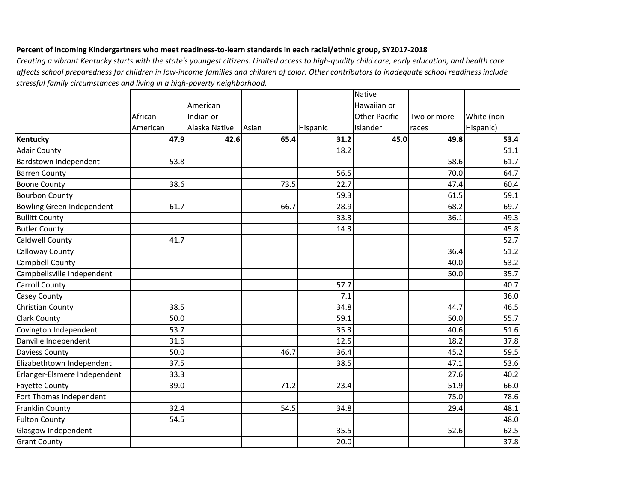# **Percent of incoming Kindergartners who meet readiness-to-learn standards in each racial/ethnic group, SY2017-2018**

|                              |          |               |       |          | <b>Native</b>        |             |             |
|------------------------------|----------|---------------|-------|----------|----------------------|-------------|-------------|
|                              |          | American      |       |          | Hawaiian or          |             |             |
|                              | African  | Indian or     |       |          | <b>Other Pacific</b> | Two or more | White (non- |
|                              | American | Alaska Native | Asian | Hispanic | Islander             | races       | Hispanic)   |
| <b>Kentucky</b>              | 47.9     | 42.6          | 65.4  | 31.2     | 45.0                 | 49.8        | 53.4        |
| <b>Adair County</b>          |          |               |       | 18.2     |                      |             | 51.1        |
| Bardstown Independent        | 53.8     |               |       |          |                      | 58.6        | 61.7        |
| <b>Barren County</b>         |          |               |       | 56.5     |                      | 70.0        | 64.7        |
| <b>Boone County</b>          | 38.6     |               | 73.5  | 22.7     |                      | 47.4        | 60.4        |
| <b>Bourbon County</b>        |          |               |       | 59.3     |                      | 61.5        | 59.1        |
| Bowling Green Independent    | 61.7     |               | 66.7  | 28.9     |                      | 68.2        | 69.7        |
| <b>Bullitt County</b>        |          |               |       | 33.3     |                      | 36.1        | 49.3        |
| <b>Butler County</b>         |          |               |       | 14.3     |                      |             | 45.8        |
| Caldwell County              | 41.7     |               |       |          |                      |             | 52.7        |
| Calloway County              |          |               |       |          |                      | 36.4        | 51.2        |
| Campbell County              |          |               |       |          |                      | 40.0        | 53.2        |
| Campbellsville Independent   |          |               |       |          |                      | 50.0        | 35.7        |
| <b>Carroll County</b>        |          |               |       | 57.7     |                      |             | 40.7        |
| Casey County                 |          |               |       | 7.1      |                      |             | 36.0        |
| Christian County             | 38.5     |               |       | 34.8     |                      | 44.7        | 46.5        |
| <b>Clark County</b>          | 50.0     |               |       | 59.1     |                      | 50.0        | 55.7        |
| Covington Independent        | 53.7     |               |       | 35.3     |                      | 40.6        | 51.6        |
| Danville Independent         | 31.6     |               |       | 12.5     |                      | 18.2        | 37.8        |
| <b>Daviess County</b>        | 50.0     |               | 46.7  | 36.4     |                      | 45.2        | 59.5        |
| Elizabethtown Independent    | 37.5     |               |       | 38.5     |                      | 47.1        | 53.6        |
| Erlanger-Elsmere Independent | 33.3     |               |       |          |                      | 27.6        | 40.2        |
| <b>Fayette County</b>        | 39.0     |               | 71.2  | 23.4     |                      | 51.9        | 66.0        |
| Fort Thomas Independent      |          |               |       |          |                      | 75.0        | 78.6        |
| Franklin County              | 32.4     |               | 54.5  | 34.8     |                      | 29.4        | 48.1        |
| <b>Fulton County</b>         | 54.5     |               |       |          |                      |             | 48.0        |
| Glasgow Independent          |          |               |       | 35.5     |                      | 52.6        | 62.5        |
| <b>Grant County</b>          |          |               |       | 20.0     |                      |             | 37.8        |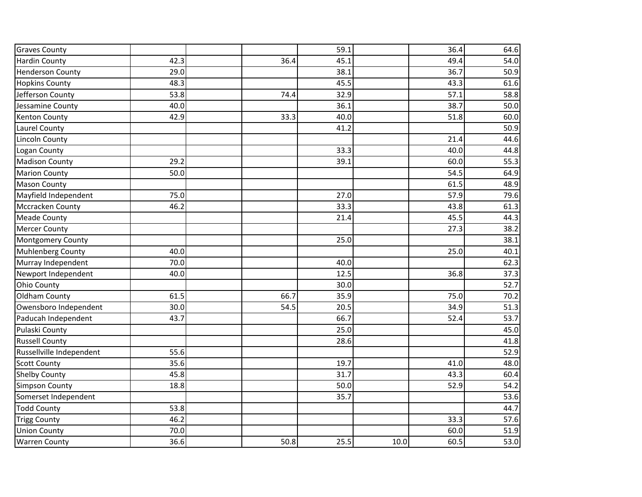| <b>Graves County</b>     |      |      | 59.1 |      | 36.4 | 64.6 |
|--------------------------|------|------|------|------|------|------|
| <b>Hardin County</b>     | 42.3 | 36.4 | 45.1 |      | 49.4 | 54.0 |
| <b>Henderson County</b>  | 29.0 |      | 38.1 |      | 36.7 | 50.9 |
| <b>Hopkins County</b>    | 48.3 |      | 45.5 |      | 43.3 | 61.6 |
| Jefferson County         | 53.8 | 74.4 | 32.9 |      | 57.1 | 58.8 |
| Jessamine County         | 40.0 |      | 36.1 |      | 38.7 | 50.0 |
| <b>Kenton County</b>     | 42.9 | 33.3 | 40.0 |      | 51.8 | 60.0 |
| Laurel County            |      |      | 41.2 |      |      | 50.9 |
| Lincoln County           |      |      |      |      | 21.4 | 44.6 |
| Logan County             |      |      | 33.3 |      | 40.0 | 44.8 |
| <b>Madison County</b>    | 29.2 |      | 39.1 |      | 60.0 | 55.3 |
| <b>Marion County</b>     | 50.0 |      |      |      | 54.5 | 64.9 |
| <b>Mason County</b>      |      |      |      |      | 61.5 | 48.9 |
| Mayfield Independent     | 75.0 |      | 27.0 |      | 57.9 | 79.6 |
| <b>Mccracken County</b>  | 46.2 |      | 33.3 |      | 43.8 | 61.3 |
| <b>Meade County</b>      |      |      | 21.4 |      | 45.5 | 44.3 |
| <b>Mercer County</b>     |      |      |      |      | 27.3 | 38.2 |
| Montgomery County        |      |      | 25.0 |      |      | 38.1 |
| Muhlenberg County        | 40.0 |      |      |      | 25.0 | 40.1 |
| Murray Independent       | 70.0 |      | 40.0 |      |      | 62.3 |
| Newport Independent      | 40.0 |      | 12.5 |      | 36.8 | 37.3 |
| Ohio County              |      |      | 30.0 |      |      | 52.7 |
| Oldham County            | 61.5 | 66.7 | 35.9 |      | 75.0 | 70.2 |
| Owensboro Independent    | 30.0 | 54.5 | 20.5 |      | 34.9 | 51.3 |
| Paducah Independent      | 43.7 |      | 66.7 |      | 52.4 | 53.7 |
| Pulaski County           |      |      | 25.0 |      |      | 45.0 |
| <b>Russell County</b>    |      |      | 28.6 |      |      | 41.8 |
| Russellville Independent | 55.6 |      |      |      |      | 52.9 |
| <b>Scott County</b>      | 35.6 |      | 19.7 |      | 41.0 | 48.0 |
| <b>Shelby County</b>     | 45.8 |      | 31.7 |      | 43.3 | 60.4 |
| <b>Simpson County</b>    | 18.8 |      | 50.0 |      | 52.9 | 54.2 |
| Somerset Independent     |      |      | 35.7 |      |      | 53.6 |
| <b>Todd County</b>       | 53.8 |      |      |      |      | 44.7 |
| <b>Trigg County</b>      | 46.2 |      |      |      | 33.3 | 57.6 |
| <b>Union County</b>      | 70.0 |      |      |      | 60.0 | 51.9 |
| <b>Warren County</b>     | 36.6 | 50.8 | 25.5 | 10.0 | 60.5 | 53.0 |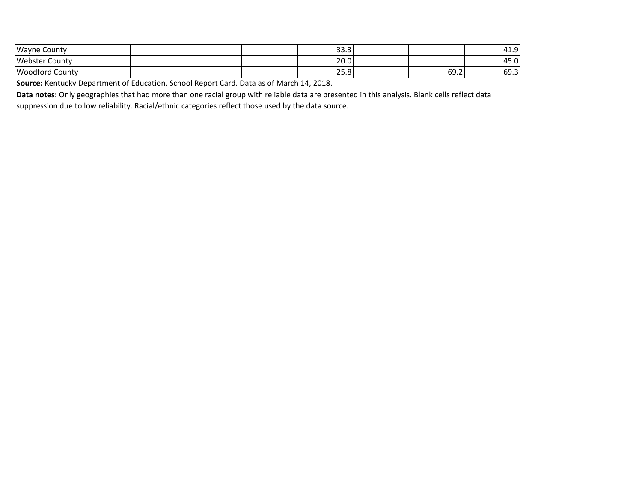| <b>Wayne County</b>    |  | $\sim$ $\sim$<br><b>JJ.J</b> |      | ി<br>4<br>- ⊥.J                       |
|------------------------|--|------------------------------|------|---------------------------------------|
| Webster C<br>County    |  | 200 <sub>0</sub><br>ZU.U     |      | $\overline{\phantom{0}}$<br>15.0<br>4 |
| <b>Woodford County</b> |  | n F<br>23.O                  | 69.2 | --<br>ບວ.ວ                            |

**Source:** Kentucky Department of Education, School Report Card. Data as of March 14, 2018.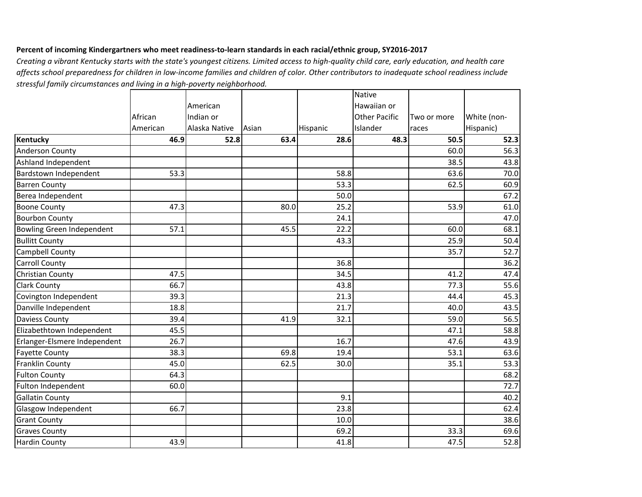## **Percent of incoming Kindergartners who meet readiness-to-learn standards in each racial/ethnic group, SY2016-2017**

|                                  |          |               |       |          | <b>Native</b>        |             |             |
|----------------------------------|----------|---------------|-------|----------|----------------------|-------------|-------------|
|                                  |          | American      |       |          | Hawaiian or          |             |             |
|                                  | African  | Indian or     |       |          | <b>Other Pacific</b> | Two or more | White (non- |
|                                  | American | Alaska Native | Asian | Hispanic | Islander             | races       | Hispanic)   |
| Kentucky                         | 46.9     | 52.8          | 63.4  | 28.6     | 48.3                 | 50.5        | 52.3        |
| Anderson County                  |          |               |       |          |                      | 60.0        | 56.3        |
| Ashland Independent              |          |               |       |          |                      | 38.5        | 43.8        |
| Bardstown Independent            | 53.3     |               |       | 58.8     |                      | 63.6        | 70.0        |
| <b>Barren County</b>             |          |               |       | 53.3     |                      | 62.5        | 60.9        |
| Berea Independent                |          |               |       | 50.0     |                      |             | 67.2        |
| <b>Boone County</b>              | 47.3     |               | 80.0  | 25.2     |                      | 53.9        | 61.0        |
| <b>Bourbon County</b>            |          |               |       | 24.1     |                      |             | 47.0        |
| <b>Bowling Green Independent</b> | 57.1     |               | 45.5  | 22.2     |                      | 60.0        | 68.1        |
| <b>Bullitt County</b>            |          |               |       | 43.3     |                      | 25.9        | 50.4        |
| Campbell County                  |          |               |       |          |                      | 35.7        | 52.7        |
| <b>Carroll County</b>            |          |               |       | 36.8     |                      |             | 36.2        |
| Christian County                 | 47.5     |               |       | 34.5     |                      | 41.2        | 47.4        |
| <b>Clark County</b>              | 66.7     |               |       | 43.8     |                      | 77.3        | 55.6        |
| Covington Independent            | 39.3     |               |       | 21.3     |                      | 44.4        | 45.3        |
| Danville Independent             | 18.8     |               |       | 21.7     |                      | 40.0        | 43.5        |
| Daviess County                   | 39.4     |               | 41.9  | 32.1     |                      | 59.0        | 56.5        |
| Elizabethtown Independent        | 45.5     |               |       |          |                      | 47.1        | 58.8        |
| Erlanger-Elsmere Independent     | 26.7     |               |       | 16.7     |                      | 47.6        | 43.9        |
| <b>Fayette County</b>            | 38.3     |               | 69.8  | 19.4     |                      | 53.1        | 63.6        |
| <b>Franklin County</b>           | 45.0     |               | 62.5  | 30.0     |                      | 35.1        | 53.3        |
| <b>Fulton County</b>             | 64.3     |               |       |          |                      |             | 68.2        |
| Fulton Independent               | 60.0     |               |       |          |                      |             | 72.7        |
| <b>Gallatin County</b>           |          |               |       | 9.1      |                      |             | 40.2        |
| Glasgow Independent              | 66.7     |               |       | 23.8     |                      |             | 62.4        |
| <b>Grant County</b>              |          |               |       | 10.0     |                      |             | 38.6        |
| <b>Graves County</b>             |          |               |       | 69.2     |                      | 33.3        | 69.6        |
| <b>Hardin County</b>             | 43.9     |               |       | 41.8     |                      | 47.5        | 52.8        |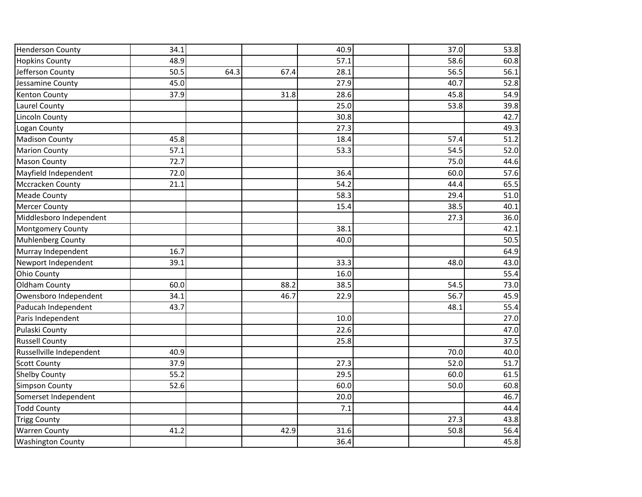| <b>Henderson County</b>  | 34.1 |      |      | 40.9 | 37.0 | 53.8 |
|--------------------------|------|------|------|------|------|------|
| <b>Hopkins County</b>    | 48.9 |      |      | 57.1 | 58.6 | 60.8 |
| Jefferson County         | 50.5 | 64.3 | 67.4 | 28.1 | 56.5 | 56.1 |
| Jessamine County         | 45.0 |      |      | 27.9 | 40.7 | 52.8 |
| <b>Kenton County</b>     | 37.9 |      | 31.8 | 28.6 | 45.8 | 54.9 |
| Laurel County            |      |      |      | 25.0 | 53.8 | 39.8 |
| <b>Lincoln County</b>    |      |      |      | 30.8 |      | 42.7 |
| Logan County             |      |      |      | 27.3 |      | 49.3 |
| <b>Madison County</b>    | 45.8 |      |      | 18.4 | 57.4 | 51.2 |
| <b>Marion County</b>     | 57.1 |      |      | 53.3 | 54.5 | 52.0 |
| <b>Mason County</b>      | 72.7 |      |      |      | 75.0 | 44.6 |
| Mayfield Independent     | 72.0 |      |      | 36.4 | 60.0 | 57.6 |
| Mccracken County         | 21.1 |      |      | 54.2 | 44.4 | 65.5 |
| <b>Meade County</b>      |      |      |      | 58.3 | 29.4 | 51.0 |
| <b>Mercer County</b>     |      |      |      | 15.4 | 38.5 | 40.1 |
| Middlesboro Independent  |      |      |      |      | 27.3 | 36.0 |
| <b>Montgomery County</b> |      |      |      | 38.1 |      | 42.1 |
| <b>Muhlenberg County</b> |      |      |      | 40.0 |      | 50.5 |
| Murray Independent       | 16.7 |      |      |      |      | 64.9 |
| Newport Independent      | 39.1 |      |      | 33.3 | 48.0 | 43.0 |
| <b>Ohio County</b>       |      |      |      | 16.0 |      | 55.4 |
| Oldham County            | 60.0 |      | 88.2 | 38.5 | 54.5 | 73.0 |
| Owensboro Independent    | 34.1 |      | 46.7 | 22.9 | 56.7 | 45.9 |
| Paducah Independent      | 43.7 |      |      |      | 48.1 | 55.4 |
| Paris Independent        |      |      |      | 10.0 |      | 27.0 |
| Pulaski County           |      |      |      | 22.6 |      | 47.0 |
| <b>Russell County</b>    |      |      |      | 25.8 |      | 37.5 |
| Russellville Independent | 40.9 |      |      |      | 70.0 | 40.0 |
| <b>Scott County</b>      | 37.9 |      |      | 27.3 | 52.0 | 51.7 |
| <b>Shelby County</b>     | 55.2 |      |      | 29.5 | 60.0 | 61.5 |
| <b>Simpson County</b>    | 52.6 |      |      | 60.0 | 50.0 | 60.8 |
| Somerset Independent     |      |      |      | 20.0 |      | 46.7 |
| <b>Todd County</b>       |      |      |      | 7.1  |      | 44.4 |
| <b>Trigg County</b>      |      |      |      |      | 27.3 | 43.8 |
| <b>Warren County</b>     | 41.2 |      | 42.9 | 31.6 | 50.8 | 56.4 |
| <b>Washington County</b> |      |      |      | 36.4 |      | 45.8 |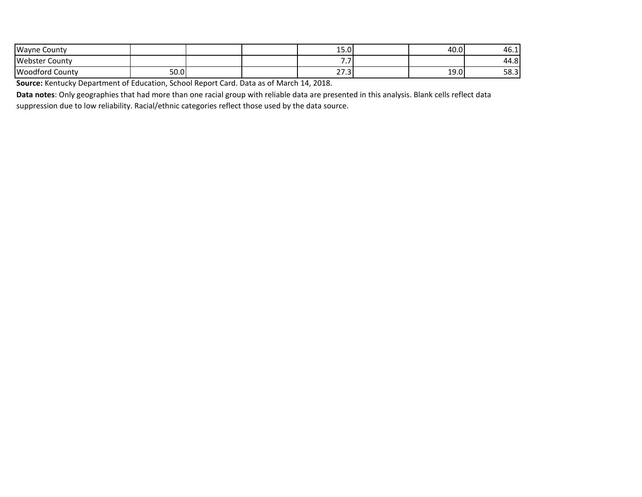| <b>Wayne County</b>    |      |  | . .<br>JJ.U            | 40.0 | 46.1. |
|------------------------|------|--|------------------------|------|-------|
| Webster<br>County      |      |  | - -<br>, , ,           |      | 44.8  |
| <b>Woodford County</b> | 50.0 |  | $\sim$ $\sim$<br>ت ، ے | 19.0 | 58.3  |

**Source:** Kentucky Department of Education, School Report Card. Data as of March 14, 2018.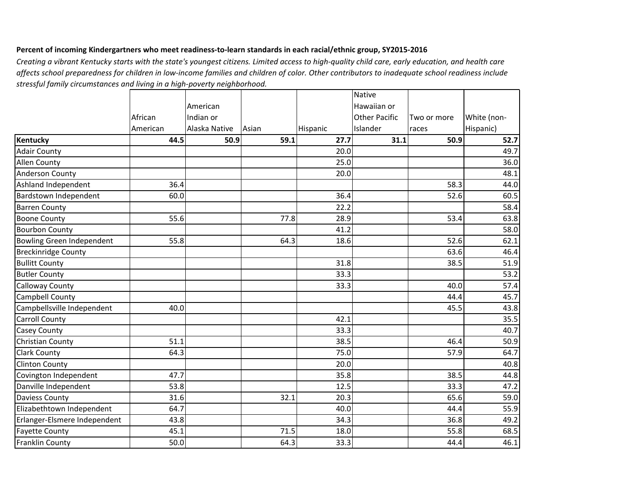## **Percent of incoming Kindergartners who meet readiness-to-learn standards in each racial/ethnic group, SY2015-2016**

|                              |          |               |       |          | <b>Native</b>        |             |             |
|------------------------------|----------|---------------|-------|----------|----------------------|-------------|-------------|
|                              |          | American      |       |          | Hawaiian or          |             |             |
|                              | African  | Indian or     |       |          | <b>Other Pacific</b> | Two or more | White (non- |
|                              | American | Alaska Native | Asian | Hispanic | Islander             | races       | Hispanic)   |
| <b>Kentucky</b>              | 44.5     | 50.9          | 59.1  | 27.7     | 31.1                 | 50.9        | 52.7        |
| <b>Adair County</b>          |          |               |       | 20.0     |                      |             | 49.7        |
| <b>Allen County</b>          |          |               |       | 25.0     |                      |             | 36.0        |
| <b>Anderson County</b>       |          |               |       | 20.0     |                      |             | 48.1        |
| Ashland Independent          | 36.4     |               |       |          |                      | 58.3        | 44.0        |
| Bardstown Independent        | 60.0     |               |       | 36.4     |                      | 52.6        | 60.5        |
| <b>Barren County</b>         |          |               |       | 22.2     |                      |             | 58.4        |
| <b>Boone County</b>          | 55.6     |               | 77.8  | 28.9     |                      | 53.4        | 63.8        |
| <b>Bourbon County</b>        |          |               |       | 41.2     |                      |             | 58.0        |
| Bowling Green Independent    | 55.8     |               | 64.3  | 18.6     |                      | 52.6        | 62.1        |
| <b>Breckinridge County</b>   |          |               |       |          |                      | 63.6        | 46.4        |
| <b>Bullitt County</b>        |          |               |       | 31.8     |                      | 38.5        | 51.9        |
| <b>Butler County</b>         |          |               |       | 33.3     |                      |             | 53.2        |
| <b>Calloway County</b>       |          |               |       | 33.3     |                      | 40.0        | 57.4        |
| <b>Campbell County</b>       |          |               |       |          |                      | 44.4        | 45.7        |
| Campbellsville Independent   | 40.0     |               |       |          |                      | 45.5        | 43.8        |
| <b>Carroll County</b>        |          |               |       | 42.1     |                      |             | 35.5        |
| <b>Casey County</b>          |          |               |       | 33.3     |                      |             | 40.7        |
| Christian County             | 51.1     |               |       | 38.5     |                      | 46.4        | 50.9        |
| <b>Clark County</b>          | 64.3     |               |       | 75.0     |                      | 57.9        | 64.7        |
| <b>Clinton County</b>        |          |               |       | 20.0     |                      |             | 40.8        |
| Covington Independent        | 47.7     |               |       | 35.8     |                      | 38.5        | 44.8        |
| Danville Independent         | 53.8     |               |       | 12.5     |                      | 33.3        | 47.2        |
| <b>Daviess County</b>        | 31.6     |               | 32.1  | 20.3     |                      | 65.6        | 59.0        |
| Elizabethtown Independent    | 64.7     |               |       | 40.0     |                      | 44.4        | 55.9        |
| Erlanger-Elsmere Independent | 43.8     |               |       | 34.3     |                      | 36.8        | 49.2        |
| <b>Fayette County</b>        | 45.1     |               | 71.5  | 18.0     |                      | 55.8        | 68.5        |
| Franklin County              | 50.0     |               | 64.3  | 33.3     |                      | 44.4        | 46.1        |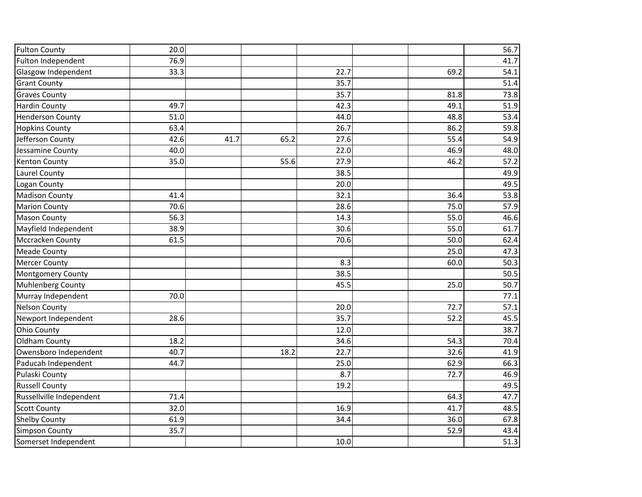| <b>Fulton County</b>     | 20.0 |      |      |      |      | 56.7 |
|--------------------------|------|------|------|------|------|------|
| Fulton Independent       | 76.9 |      |      |      |      | 41.7 |
| Glasgow Independent      | 33.3 |      |      | 22.7 | 69.2 | 54.1 |
| <b>Grant County</b>      |      |      |      | 35.7 |      | 51.4 |
| <b>Graves County</b>     |      |      |      | 35.7 | 81.8 | 73.8 |
| <b>Hardin County</b>     | 49.7 |      |      | 42.3 | 49.1 | 51.9 |
| <b>Henderson County</b>  | 51.0 |      |      | 44.0 | 48.8 | 53.4 |
| <b>Hopkins County</b>    | 63.4 |      |      | 26.7 | 86.2 | 59.8 |
| Jefferson County         | 42.6 | 41.7 | 65.2 | 27.6 | 55.4 | 54.9 |
| Jessamine County         | 40.0 |      |      | 22.0 | 46.9 | 48.0 |
| <b>Kenton County</b>     | 35.0 |      | 55.6 | 27.9 | 46.2 | 57.2 |
| Laurel County            |      |      |      | 38.5 |      | 49.9 |
| Logan County             |      |      |      | 20.0 |      | 49.5 |
| <b>Madison County</b>    | 41.4 |      |      | 32.1 | 36.4 | 53.8 |
| <b>Marion County</b>     | 70.6 |      |      | 28.6 | 75.0 | 57.9 |
| <b>Mason County</b>      | 56.3 |      |      | 14.3 | 55.0 | 46.6 |
| Mayfield Independent     | 38.9 |      |      | 30.6 | 55.0 | 61.7 |
| Mccracken County         | 61.5 |      |      | 70.6 | 50.0 | 62.4 |
| <b>Meade County</b>      |      |      |      |      | 25.0 | 47.3 |
| <b>Mercer County</b>     |      |      |      | 8.3  | 60.0 | 50.3 |
| Montgomery County        |      |      |      | 38.5 |      | 50.5 |
| Muhlenberg County        |      |      |      | 45.5 | 25.0 | 50.7 |
| Murray Independent       | 70.0 |      |      |      |      | 77.1 |
| <b>Nelson County</b>     |      |      |      | 20.0 | 72.7 | 57.1 |
| Newport Independent      | 28.6 |      |      | 35.7 | 52.2 | 45.5 |
| <b>Ohio County</b>       |      |      |      | 12.0 |      | 38.7 |
| Oldham County            | 18.2 |      |      | 34.6 | 54.3 | 70.4 |
| Owensboro Independent    | 40.7 |      | 18.2 | 22.7 | 32.6 | 41.9 |
| Paducah Independent      | 44.7 |      |      | 25.0 | 62.9 | 66.3 |
| Pulaski County           |      |      |      | 8.7  | 72.7 | 46.9 |
| <b>Russell County</b>    |      |      |      | 19.2 |      | 49.5 |
| Russellville Independent | 71.4 |      |      |      | 64.3 | 47.7 |
| <b>Scott County</b>      | 32.0 |      |      | 16.9 | 41.7 | 48.5 |
| <b>Shelby County</b>     | 61.9 |      |      | 34.4 | 36.0 | 67.8 |
| <b>Simpson County</b>    | 35.7 |      |      |      | 52.9 | 43.4 |
| Somerset Independent     |      |      |      | 10.0 |      | 51.3 |